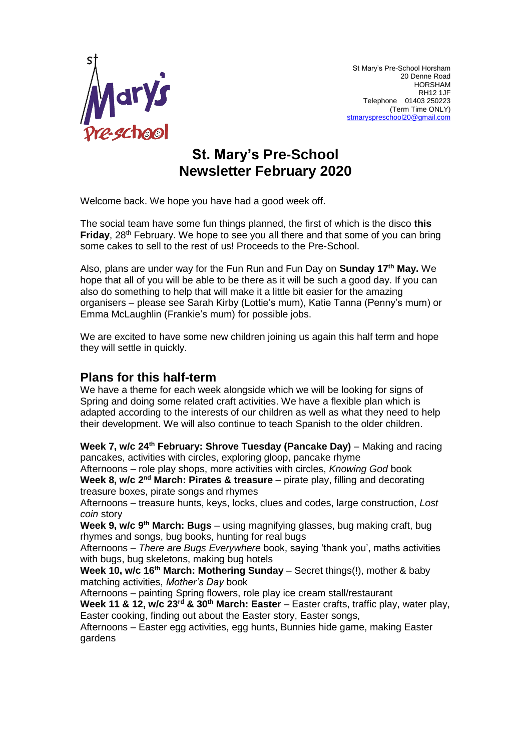

# **St. Mary's Pre-School Newsletter February 2020**

Welcome back. We hope you have had a good week off.

The social team have some fun things planned, the first of which is the disco **this Friday**, 28<sup>th</sup> February. We hope to see you all there and that some of you can bring some cakes to sell to the rest of us! Proceeds to the Pre-School.

Also, plans are under way for the Fun Run and Fun Day on **Sunday 17th May.** We hope that all of you will be able to be there as it will be such a good day. If you can also do something to help that will make it a little bit easier for the amazing organisers – please see Sarah Kirby (Lottie's mum), Katie Tanna (Penny's mum) or Emma McLaughlin (Frankie's mum) for possible jobs.

We are excited to have some new children joining us again this half term and hope they will settle in quickly.

### **Plans for this half-term**

We have a theme for each week alongside which we will be looking for signs of Spring and doing some related craft activities. We have a flexible plan which is adapted according to the interests of our children as well as what they need to help their development. We will also continue to teach Spanish to the older children.

Week 7, w/c 24<sup>th</sup> February: Shrove Tuesday (Pancake Day) – Making and racing pancakes, activities with circles, exploring gloop, pancake rhyme

Afternoons – role play shops, more activities with circles, *Knowing God* book Week 8, w/c 2<sup>nd</sup> March: Pirates & treasure – pirate play, filling and decorating treasure boxes, pirate songs and rhymes

Afternoons – treasure hunts, keys, locks, clues and codes, large construction, *Lost coin* story

Week 9, w/c 9<sup>th</sup> March: Bugs – using magnifying glasses, bug making craft, bug rhymes and songs, bug books, hunting for real bugs

Afternoons – *There are Bugs Everywhere* book, saying 'thank you', maths activities with bugs, bug skeletons, making bug hotels

Week 10, w/c 16<sup>th</sup> March: Mothering Sunday – Secret things(!), mother & baby matching activities, *Mother's Day* book

Afternoons – painting Spring flowers, role play ice cream stall/restaurant **Week 11 & 12, w/c 23rd & 30th March: Easter** – Easter crafts, traffic play, water play, Easter cooking, finding out about the Easter story, Easter songs,

Afternoons – Easter egg activities, egg hunts, Bunnies hide game, making Easter gardens